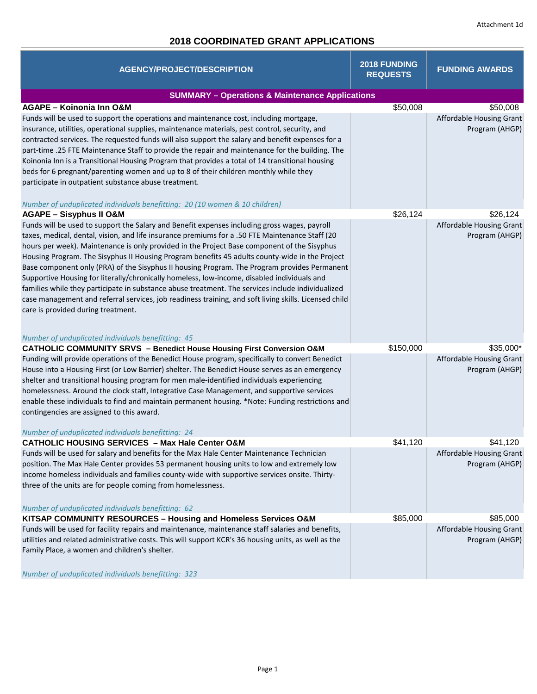# **2018 COORDINATED GRANT APPLICATIONS**

| <b>AGENCY/PROJECT/DESCRIPTION</b>                                                                     | 2018 FUNDING<br><b>REQUESTS</b> | <b>FUNDING AWARDS</b>    |  |  |
|-------------------------------------------------------------------------------------------------------|---------------------------------|--------------------------|--|--|
| <b>SUMMARY - Operations &amp; Maintenance Applications</b>                                            |                                 |                          |  |  |
| <b>AGAPE - Koinonia Inn O&amp;M</b>                                                                   | \$50,008                        | \$50,008                 |  |  |
| Funds will be used to support the operations and maintenance cost, including mortgage,                |                                 | Affordable Housing Grant |  |  |
| insurance, utilities, operational supplies, maintenance materials, pest control, security, and        |                                 | Program (AHGP)           |  |  |
| contracted services. The requested funds will also support the salary and benefit expenses for a      |                                 |                          |  |  |
| part-time .25 FTE Maintenance Staff to provide the repair and maintenance for the building. The       |                                 |                          |  |  |
| Koinonia Inn is a Transitional Housing Program that provides a total of 14 transitional housing       |                                 |                          |  |  |
| beds for 6 pregnant/parenting women and up to 8 of their children monthly while they                  |                                 |                          |  |  |
| participate in outpatient substance abuse treatment.                                                  |                                 |                          |  |  |
| Number of unduplicated individuals benefitting: 20 (10 women & 10 children)                           |                                 |                          |  |  |
| <b>AGAPE - Sisyphus II O&amp;M</b>                                                                    | \$26,124                        | \$26,124                 |  |  |
| Funds will be used to support the Salary and Benefit expenses including gross wages, payroll          |                                 | Affordable Housing Grant |  |  |
| taxes, medical, dental, vision, and life insurance premiums for a .50 FTE Maintenance Staff (20       |                                 | Program (AHGP)           |  |  |
| hours per week). Maintenance is only provided in the Project Base component of the Sisyphus           |                                 |                          |  |  |
| Housing Program. The Sisyphus II Housing Program benefits 45 adults county-wide in the Project        |                                 |                          |  |  |
| Base component only (PRA) of the Sisyphus II housing Program. The Program provides Permanent          |                                 |                          |  |  |
| Supportive Housing for literally/chronically homeless, low-income, disabled individuals and           |                                 |                          |  |  |
| families while they participate in substance abuse treatment. The services include individualized     |                                 |                          |  |  |
| case management and referral services, job readiness training, and soft living skills. Licensed child |                                 |                          |  |  |
| care is provided during treatment.                                                                    |                                 |                          |  |  |
|                                                                                                       |                                 |                          |  |  |
| Number of unduplicated individuals benefitting: 45                                                    |                                 |                          |  |  |
| <b>CATHOLIC COMMUNITY SRVS - Benedict House Housing First Conversion O&amp;M</b>                      | \$150,000                       | \$35,000*                |  |  |
| Funding will provide operations of the Benedict House program, specifically to convert Benedict       |                                 | Affordable Housing Grant |  |  |
| House into a Housing First (or Low Barrier) shelter. The Benedict House serves as an emergency        |                                 | Program (AHGP)           |  |  |
| shelter and transitional housing program for men male-identified individuals experiencing             |                                 |                          |  |  |
| homelessness. Around the clock staff, Integrative Case Management, and supportive services            |                                 |                          |  |  |
| enable these individuals to find and maintain permanent housing. *Note: Funding restrictions and      |                                 |                          |  |  |
| contingencies are assigned to this award.                                                             |                                 |                          |  |  |
| Number of unduplicated individuals benefitting: 24                                                    |                                 |                          |  |  |
| <b>CATHOLIC HOUSING SERVICES - Max Hale Center O&amp;M</b>                                            | \$41,120                        | \$41,120                 |  |  |
| Funds will be used for salary and benefits for the Max Hale Center Maintenance Technician             |                                 | Affordable Housing Grant |  |  |
| position. The Max Hale Center provides 53 permanent housing units to low and extremely low            |                                 | Program (AHGP)           |  |  |
| income homeless individuals and families county-wide with supportive services onsite. Thirty-         |                                 |                          |  |  |
| three of the units are for people coming from homelessness.                                           |                                 |                          |  |  |
|                                                                                                       |                                 |                          |  |  |
| Number of unduplicated individuals benefitting: 62                                                    |                                 |                          |  |  |
| KITSAP COMMUNITY RESOURCES - Housing and Homeless Services O&M                                        | \$85,000                        | \$85,000                 |  |  |
| Funds will be used for facility repairs and maintenance, maintenance staff salaries and benefits,     |                                 | Affordable Housing Grant |  |  |
| utilities and related administrative costs. This will support KCR's 36 housing units, as well as the  |                                 | Program (AHGP)           |  |  |
| Family Place, a women and children's shelter.                                                         |                                 |                          |  |  |
|                                                                                                       |                                 |                          |  |  |
| Number of unduplicated individuals benefitting: 323                                                   |                                 |                          |  |  |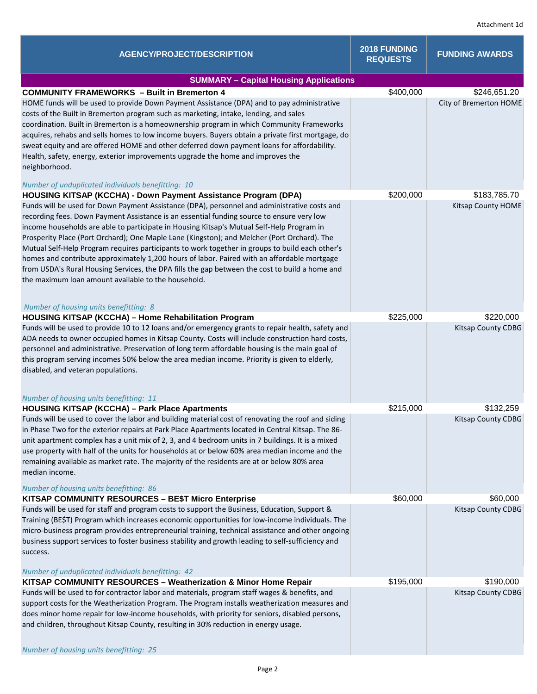| <b>AGENCY/PROJECT/DESCRIPTION</b>                                                                                                                                                                                                                                                                                                                                                                                                                                                                                                                                                                                                                                                                                                                                                          | 2018 FUNDING<br><b>REQUESTS</b> | <b>FUNDING AWARDS</b>  |  |  |
|--------------------------------------------------------------------------------------------------------------------------------------------------------------------------------------------------------------------------------------------------------------------------------------------------------------------------------------------------------------------------------------------------------------------------------------------------------------------------------------------------------------------------------------------------------------------------------------------------------------------------------------------------------------------------------------------------------------------------------------------------------------------------------------------|---------------------------------|------------------------|--|--|
| <b>SUMMARY - Capital Housing Applications</b>                                                                                                                                                                                                                                                                                                                                                                                                                                                                                                                                                                                                                                                                                                                                              |                                 |                        |  |  |
| <b>COMMUNITY FRAMEWORKS - Built in Bremerton 4</b>                                                                                                                                                                                                                                                                                                                                                                                                                                                                                                                                                                                                                                                                                                                                         | \$400,000                       | \$246,651.20           |  |  |
| HOME funds will be used to provide Down Payment Assistance (DPA) and to pay administrative<br>costs of the Built in Bremerton program such as marketing, intake, lending, and sales<br>coordination. Built in Bremerton is a homeownership program in which Community Frameworks<br>acquires, rehabs and sells homes to low income buyers. Buyers obtain a private first mortgage, do<br>sweat equity and are offered HOME and other deferred down payment loans for affordability.<br>Health, safety, energy, exterior improvements upgrade the home and improves the<br>neighborhood.<br>Number of unduplicated individuals benefitting: 10                                                                                                                                              |                                 | City of Bremerton HOME |  |  |
| HOUSING KITSAP (KCCHA) - Down Payment Assistance Program (DPA)                                                                                                                                                                                                                                                                                                                                                                                                                                                                                                                                                                                                                                                                                                                             | \$200,000                       | \$183,785.70           |  |  |
| Funds will be used for Down Payment Assistance (DPA), personnel and administrative costs and<br>recording fees. Down Payment Assistance is an essential funding source to ensure very low<br>income households are able to participate in Housing Kitsap's Mutual Self-Help Program in<br>Prosperity Place (Port Orchard); One Maple Lane (Kingston); and Melcher (Port Orchard). The<br>Mutual Self-Help Program requires participants to work together in groups to build each other's<br>homes and contribute approximately 1,200 hours of labor. Paired with an affordable mortgage<br>from USDA's Rural Housing Services, the DPA fills the gap between the cost to build a home and<br>the maximum loan amount available to the household.<br>Number of housing units benefitting: 8 |                                 | Kitsap County HOME     |  |  |
| HOUSING KITSAP (KCCHA) - Home Rehabilitation Program                                                                                                                                                                                                                                                                                                                                                                                                                                                                                                                                                                                                                                                                                                                                       | \$225,000                       | \$220,000              |  |  |
| Funds will be used to provide 10 to 12 loans and/or emergency grants to repair health, safety and<br>ADA needs to owner occupied homes in Kitsap County. Costs will include construction hard costs,<br>personnel and administrative. Preservation of long term affordable housing is the main goal of<br>this program serving incomes 50% below the area median income. Priority is given to elderly,<br>disabled, and veteran populations.<br>Number of housing units benefitting: 11                                                                                                                                                                                                                                                                                                    |                                 | Kitsap County CDBG     |  |  |
| <b>HOUSING KITSAP (KCCHA) - Park Place Apartments</b>                                                                                                                                                                                                                                                                                                                                                                                                                                                                                                                                                                                                                                                                                                                                      | \$215,000                       | \$132,259              |  |  |
| Funds will be used to cover the labor and building material cost of renovating the roof and siding<br>in Phase Two for the exterior repairs at Park Place Apartments located in Central Kitsap. The 86-<br>unit apartment complex has a unit mix of 2, 3, and 4 bedroom units in 7 buildings. It is a mixed<br>use property with half of the units for households at or below 60% area median income and the<br>remaining available as market rate. The majority of the residents are at or below 80% area<br>median income.<br>Number of housing units benefitting: 86                                                                                                                                                                                                                    |                                 | Kitsap County CDBG     |  |  |
| <b>KITSAP COMMUNITY RESOURCES - BE\$T Micro Enterprise</b>                                                                                                                                                                                                                                                                                                                                                                                                                                                                                                                                                                                                                                                                                                                                 | \$60,000                        | \$60,000               |  |  |
| Funds will be used for staff and program costs to support the Business, Education, Support &<br>Training (BE\$T) Program which increases economic opportunities for low-income individuals. The<br>micro-business program provides entrepreneurial training, technical assistance and other ongoing<br>business support services to foster business stability and growth leading to self-sufficiency and<br>success.<br>Number of unduplicated individuals benefitting: 42                                                                                                                                                                                                                                                                                                                 |                                 | Kitsap County CDBG     |  |  |
| KITSAP COMMUNITY RESOURCES - Weatherization & Minor Home Repair                                                                                                                                                                                                                                                                                                                                                                                                                                                                                                                                                                                                                                                                                                                            | \$195,000                       | \$190,000              |  |  |
| Funds will be used to for contractor labor and materials, program staff wages & benefits, and<br>support costs for the Weatherization Program. The Program installs weatherization measures and<br>does minor home repair for low-income households, with priority for seniors, disabled persons,<br>and children, throughout Kitsap County, resulting in 30% reduction in energy usage.                                                                                                                                                                                                                                                                                                                                                                                                   |                                 | Kitsap County CDBG     |  |  |